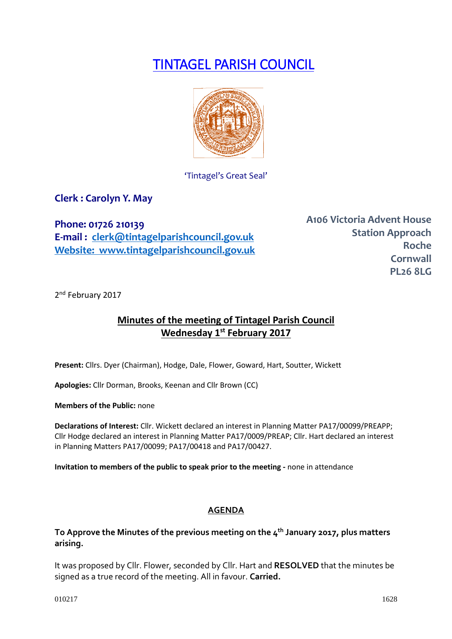# TINTAGEL PARISH COUNCIL



'Tintagel's Great Seal'

**Clerk : Carolyn Y. May**

**Phone: 01726 210139 E-mail : [clerk@tintagelparishcouncil.gov.uk](mailto:clerk@tintagelparishcouncil.gov.uk) Website: www.tintagelparishcouncil.gov.uk** **A106 Victoria Advent House Station Approach Roche Cornwall PL26 8LG**

2<sup>nd</sup> February 2017

## **Minutes of the meeting of Tintagel Parish Council Wednesday 1st February 2017**

**Present:** Cllrs. Dyer (Chairman), Hodge, Dale, Flower, Goward, Hart, Soutter, Wickett

**Apologies:** Cllr Dorman, Brooks, Keenan and Cllr Brown (CC)

**Members of the Public:** none

**Declarations of Interest:** Cllr. Wickett declared an interest in Planning Matter PA17/00099/PREAPP; Cllr Hodge declared an interest in Planning Matter PA17/0009/PREAP; Cllr. Hart declared an interest in Planning Matters PA17/00099; PA17/00418 and PA17/00427.

**Invitation to members of the public to speak prior to the meeting -** none in attendance

## **AGENDA**

**To Approve the Minutes of the previous meeting on the 4th January 2017, plus matters arising.**

It was proposed by Cllr. Flower, seconded by Cllr. Hart and **RESOLVED** that the minutes be signed as a true record of the meeting. All in favour. **Carried.**

 $010217$  1628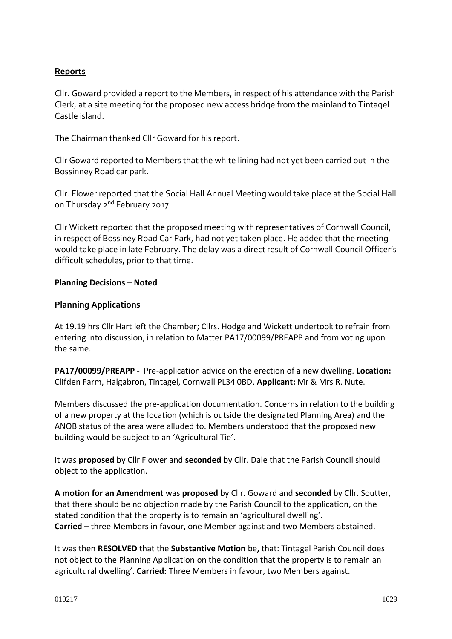## **Reports**

Cllr. Goward provided a report to the Members, in respect of his attendance with the Parish Clerk, at a site meeting for the proposed new access bridge from the mainland to Tintagel Castle island.

The Chairman thanked Cllr Goward for his report.

Cllr Goward reported to Members that the white lining had not yet been carried out in the Bossinney Road car park.

Cllr. Flower reported that the Social Hall Annual Meeting would take place at the Social Hall on Thursday 2<sup>nd</sup> February 2017.

Cllr Wickett reported that the proposed meeting with representatives of Cornwall Council, in respect of Bossiney Road Car Park, had not yet taken place. He added that the meeting would take place in late February. The delay was a direct result of Cornwall Council Officer's difficult schedules, prior to that time.

#### **Planning Decisions** – **Noted**

#### **Planning Applications**

At 19.19 hrs Cllr Hart left the Chamber; Cllrs. Hodge and Wickett undertook to refrain from entering into discussion, in relation to Matter PA17/00099/PREAPP and from voting upon the same.

**PA17/00099/PREAPP -** Pre-application advice on the erection of a new dwelling. **Location:** Clifden Farm, Halgabron, Tintagel, Cornwall PL34 0BD. **Applicant:** Mr & Mrs R. Nute.

Members discussed the pre-application documentation. Concerns in relation to the building of a new property at the location (which is outside the designated Planning Area) and the ANOB status of the area were alluded to. Members understood that the proposed new building would be subject to an 'Agricultural Tie'.

It was **proposed** by Cllr Flower and **seconded** by Cllr. Dale that the Parish Council should object to the application.

**A motion for an Amendment** was **proposed** by Cllr. Goward and **seconded** by Cllr. Soutter, that there should be no objection made by the Parish Council to the application, on the stated condition that the property is to remain an 'agricultural dwelling'. **Carried** – three Members in favour, one Member against and two Members abstained.

It was then **RESOLVED** that the **Substantive Motion** be**,** that: Tintagel Parish Council does not object to the Planning Application on the condition that the property is to remain an agricultural dwelling'. **Carried:** Three Members in favour, two Members against.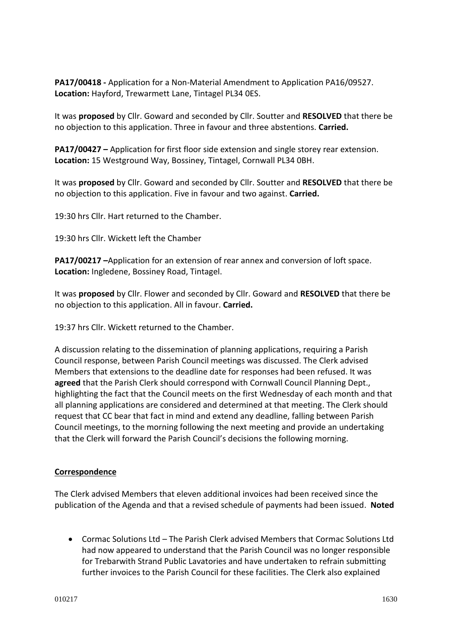**PA17/00418 -** Application for a Non-Material Amendment to Application PA16/09527. **Location:** Hayford, Trewarmett Lane, Tintagel PL34 0ES.

It was **proposed** by Cllr. Goward and seconded by Cllr. Soutter and **RESOLVED** that there be no objection to this application. Three in favour and three abstentions. **Carried.**

**PA17/00427 –** Application for first floor side extension and single storey rear extension. **Location:** 15 Westground Way, Bossiney, Tintagel, Cornwall PL34 0BH.

It was **proposed** by Cllr. Goward and seconded by Cllr. Soutter and **RESOLVED** that there be no objection to this application. Five in favour and two against. **Carried.**

19:30 hrs Cllr. Hart returned to the Chamber.

19:30 hrs Cllr. Wickett left the Chamber

**PA17/00217 –**Application for an extension of rear annex and conversion of loft space. **Location:** Ingledene, Bossiney Road, Tintagel.

It was **proposed** by Cllr. Flower and seconded by Cllr. Goward and **RESOLVED** that there be no objection to this application. All in favour. **Carried.**

19:37 hrs Cllr. Wickett returned to the Chamber.

A discussion relating to the dissemination of planning applications, requiring a Parish Council response, between Parish Council meetings was discussed. The Clerk advised Members that extensions to the deadline date for responses had been refused. It was **agreed** that the Parish Clerk should correspond with Cornwall Council Planning Dept., highlighting the fact that the Council meets on the first Wednesday of each month and that all planning applications are considered and determined at that meeting. The Clerk should request that CC bear that fact in mind and extend any deadline, falling between Parish Council meetings, to the morning following the next meeting and provide an undertaking that the Clerk will forward the Parish Council's decisions the following morning.

## **Correspondence**

The Clerk advised Members that eleven additional invoices had been received since the publication of the Agenda and that a revised schedule of payments had been issued. **Noted**

• Cormac Solutions Ltd – The Parish Clerk advised Members that Cormac Solutions Ltd had now appeared to understand that the Parish Council was no longer responsible for Trebarwith Strand Public Lavatories and have undertaken to refrain submitting further invoices to the Parish Council for these facilities. The Clerk also explained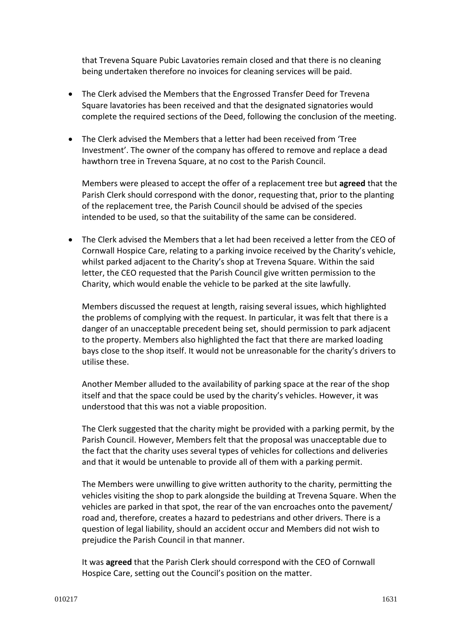that Trevena Square Pubic Lavatories remain closed and that there is no cleaning being undertaken therefore no invoices for cleaning services will be paid.

- The Clerk advised the Members that the Engrossed Transfer Deed for Trevena Square lavatories has been received and that the designated signatories would complete the required sections of the Deed, following the conclusion of the meeting.
- The Clerk advised the Members that a letter had been received from 'Tree Investment'. The owner of the company has offered to remove and replace a dead hawthorn tree in Trevena Square, at no cost to the Parish Council.

Members were pleased to accept the offer of a replacement tree but **agreed** that the Parish Clerk should correspond with the donor, requesting that, prior to the planting of the replacement tree, the Parish Council should be advised of the species intended to be used, so that the suitability of the same can be considered.

• The Clerk advised the Members that a let had been received a letter from the CEO of Cornwall Hospice Care, relating to a parking invoice received by the Charity's vehicle, whilst parked adjacent to the Charity's shop at Trevena Square. Within the said letter, the CEO requested that the Parish Council give written permission to the Charity, which would enable the vehicle to be parked at the site lawfully.

Members discussed the request at length, raising several issues, which highlighted the problems of complying with the request. In particular, it was felt that there is a danger of an unacceptable precedent being set, should permission to park adjacent to the property. Members also highlighted the fact that there are marked loading bays close to the shop itself. It would not be unreasonable for the charity's drivers to utilise these.

Another Member alluded to the availability of parking space at the rear of the shop itself and that the space could be used by the charity's vehicles. However, it was understood that this was not a viable proposition.

The Clerk suggested that the charity might be provided with a parking permit, by the Parish Council. However, Members felt that the proposal was unacceptable due to the fact that the charity uses several types of vehicles for collections and deliveries and that it would be untenable to provide all of them with a parking permit.

The Members were unwilling to give written authority to the charity, permitting the vehicles visiting the shop to park alongside the building at Trevena Square. When the vehicles are parked in that spot, the rear of the van encroaches onto the pavement/ road and, therefore, creates a hazard to pedestrians and other drivers. There is a question of legal liability, should an accident occur and Members did not wish to prejudice the Parish Council in that manner.

It was **agreed** that the Parish Clerk should correspond with the CEO of Cornwall Hospice Care, setting out the Council's position on the matter.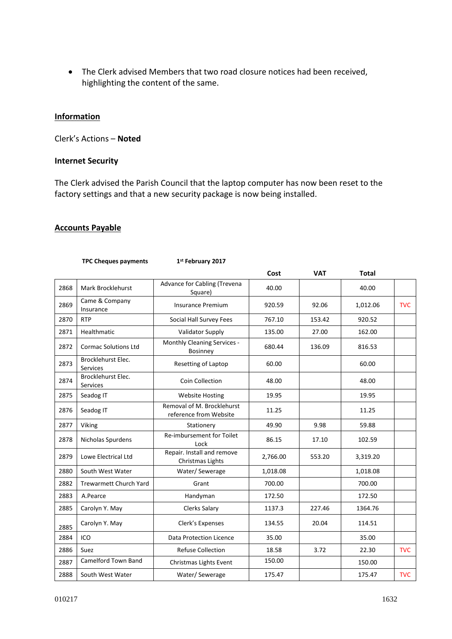• The Clerk advised Members that two road closure notices had been received, highlighting the content of the same.

#### **Information**

Clerk's Actions – **Noted**

#### **Internet Security**

The Clerk advised the Parish Council that the laptop computer has now been reset to the factory settings and that a new security package is now being installed.

#### **Accounts Payable**

|      | <b>TPC Cheques payments</b>           | 1st February 2017                                    |          |            |              |            |
|------|---------------------------------------|------------------------------------------------------|----------|------------|--------------|------------|
|      |                                       |                                                      | Cost     | <b>VAT</b> | <b>Total</b> |            |
| 2868 | Mark Brocklehurst                     | Advance for Cabling (Trevena<br>Square)              | 40.00    |            | 40.00        |            |
| 2869 | Came & Company<br>Insurance           | <b>Insurance Premium</b>                             | 920.59   | 92.06      | 1,012.06     | <b>TVC</b> |
| 2870 | <b>RTP</b>                            | Social Hall Survey Fees                              | 767.10   | 153.42     | 920.52       |            |
| 2871 | Healthmatic                           | <b>Validator Supply</b>                              | 135.00   | 27.00      | 162.00       |            |
| 2872 | <b>Cormac Solutions Ltd</b>           | Monthly Cleaning Services -<br>Bosinney              | 680.44   | 136.09     | 816.53       |            |
| 2873 | Brocklehurst Elec.<br><b>Services</b> | Resetting of Laptop                                  | 60.00    |            | 60.00        |            |
| 2874 | Brocklehurst Elec.<br>Services        | Coin Collection                                      | 48.00    |            | 48.00        |            |
| 2875 | Seadog IT                             | <b>Website Hosting</b>                               | 19.95    |            | 19.95        |            |
| 2876 | Seadog IT                             | Removal of M. Brocklehurst<br>reference from Website | 11.25    |            | 11.25        |            |
| 2877 | Viking                                | Stationery                                           | 49.90    | 9.98       | 59.88        |            |
| 2878 | Nicholas Spurdens                     | Re-imbursement for Toilet<br>Lock                    | 86.15    | 17.10      | 102.59       |            |
| 2879 | Lowe Electrical Ltd                   | Repair. Install and remove<br>Christmas Lights       | 2,766.00 | 553.20     | 3,319.20     |            |
| 2880 | South West Water                      | Water/Sewerage                                       | 1,018.08 |            | 1,018.08     |            |
| 2882 | <b>Trewarmett Church Yard</b>         | Grant                                                | 700.00   |            | 700.00       |            |
| 2883 | A.Pearce                              | Handyman                                             | 172.50   |            | 172.50       |            |
| 2885 | Carolyn Y. May                        | <b>Clerks Salary</b>                                 | 1137.3   | 227.46     | 1364.76      |            |
| 2885 | Carolyn Y. May                        | Clerk's Expenses                                     | 134.55   | 20.04      | 114.51       |            |
| 2884 | ICO                                   | <b>Data Protection Licence</b>                       | 35.00    |            | 35.00        |            |
| 2886 | Suez                                  | <b>Refuse Collection</b>                             | 18.58    | 3.72       | 22.30        | <b>TVC</b> |
| 2887 | Camelford Town Band                   | Christmas Lights Event                               | 150.00   |            | 150.00       |            |
| 2888 | South West Water                      | Water/Sewerage                                       | 175.47   |            | 175.47       | <b>TVC</b> |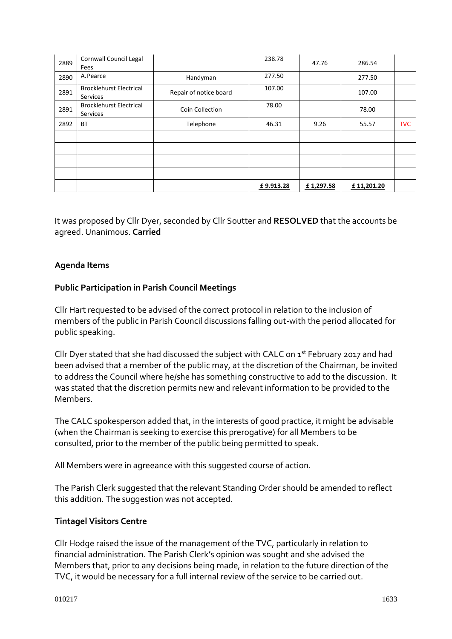| 2889 | Cornwall Council Legal<br>Fees             |                        | 238.78    | 47.76     | 286.54     |            |
|------|--------------------------------------------|------------------------|-----------|-----------|------------|------------|
| 2890 | A. Pearce                                  | Handyman               | 277.50    |           | 277.50     |            |
| 2891 | <b>Brocklehurst Electrical</b><br>Services | Repair of notice board | 107.00    |           | 107.00     |            |
| 2891 | <b>Brocklehurst Electrical</b><br>Services | Coin Collection        | 78.00     |           | 78.00      |            |
| 2892 | <b>BT</b>                                  | Telephone              | 46.31     | 9.26      | 55.57      | <b>TVC</b> |
|      |                                            |                        |           |           |            |            |
|      |                                            |                        |           |           |            |            |
|      |                                            |                        |           |           |            |            |
|      |                                            |                        |           |           |            |            |
|      |                                            |                        | £9.913.28 | £1,297.58 | £11,201.20 |            |

It was proposed by Cllr Dyer, seconded by Cllr Soutter and **RESOLVED** that the accounts be agreed. Unanimous. **Carried**

## **Agenda Items**

## **Public Participation in Parish Council Meetings**

Cllr Hart requested to be advised of the correct protocol in relation to the inclusion of members of the public in Parish Council discussions falling out-with the period allocated for public speaking.

Cllr Dyer stated that she had discussed the subject with CALC on 1<sup>st</sup> February 2017 and had been advised that a member of the public may, at the discretion of the Chairman, be invited to address the Council where he/she has something constructive to add to the discussion. It was stated that the discretion permits new and relevant information to be provided to the Members.

The CALC spokesperson added that, in the interests of good practice, it might be advisable (when the Chairman is seeking to exercise this prerogative) for all Members to be consulted, prior to the member of the public being permitted to speak.

All Members were in agreeance with this suggested course of action.

The Parish Clerk suggested that the relevant Standing Order should be amended to reflect this addition. The suggestion was not accepted.

## **Tintagel Visitors Centre**

Cllr Hodge raised the issue of the management of the TVC, particularly in relation to financial administration. The Parish Clerk's opinion was sought and she advised the Members that, prior to any decisions being made, in relation to the future direction of the TVC, it would be necessary for a full internal review of the service to be carried out.